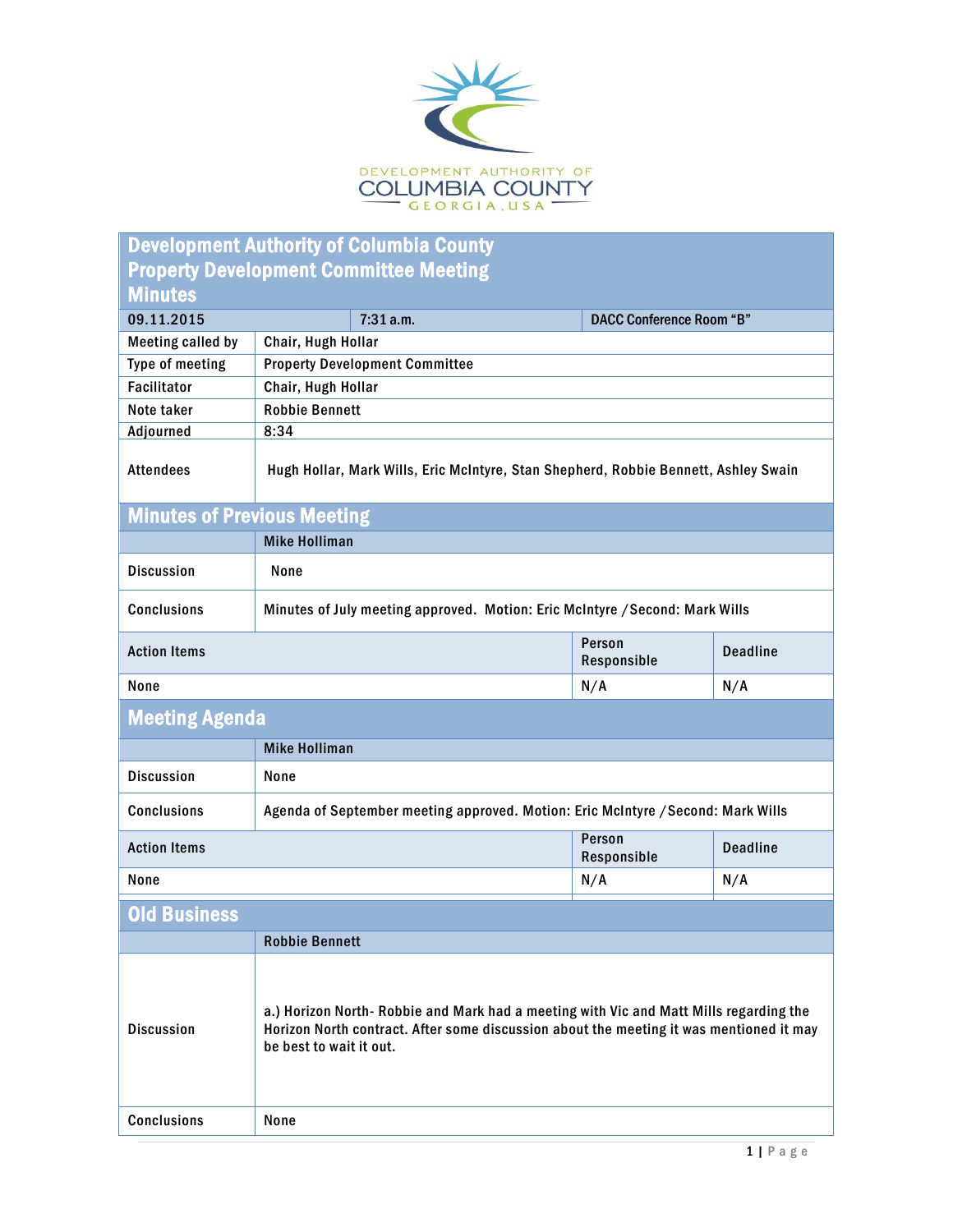

| <b>Development Authority of Columbia County</b> |                                                                                                                                                                                                             |                                 |                 |  |  |  |
|-------------------------------------------------|-------------------------------------------------------------------------------------------------------------------------------------------------------------------------------------------------------------|---------------------------------|-----------------|--|--|--|
| <b>Property Development Committee Meeting</b>   |                                                                                                                                                                                                             |                                 |                 |  |  |  |
| <b>Minutes</b>                                  |                                                                                                                                                                                                             |                                 |                 |  |  |  |
| 09.11.2015                                      | 7:31a.m.                                                                                                                                                                                                    | <b>DACC Conference Room "B"</b> |                 |  |  |  |
| <b>Meeting called by</b>                        | Chair, Hugh Hollar                                                                                                                                                                                          |                                 |                 |  |  |  |
| Type of meeting                                 | <b>Property Development Committee</b>                                                                                                                                                                       |                                 |                 |  |  |  |
| <b>Facilitator</b>                              | Chair, Hugh Hollar                                                                                                                                                                                          |                                 |                 |  |  |  |
| Note taker                                      | <b>Robbie Bennett</b>                                                                                                                                                                                       |                                 |                 |  |  |  |
| Adjourned                                       | 8:34                                                                                                                                                                                                        |                                 |                 |  |  |  |
| <b>Attendees</b>                                | Hugh Hollar, Mark Wills, Eric McIntyre, Stan Shepherd, Robbie Bennett, Ashley Swain                                                                                                                         |                                 |                 |  |  |  |
| <b>Minutes of Previous Meeting</b>              |                                                                                                                                                                                                             |                                 |                 |  |  |  |
|                                                 | <b>Mike Holliman</b>                                                                                                                                                                                        |                                 |                 |  |  |  |
| <b>Discussion</b>                               | None                                                                                                                                                                                                        |                                 |                 |  |  |  |
| <b>Conclusions</b>                              | Minutes of July meeting approved. Motion: Eric McIntyre / Second: Mark Wills                                                                                                                                |                                 |                 |  |  |  |
| <b>Action Items</b>                             |                                                                                                                                                                                                             | Person<br>Responsible           | <b>Deadline</b> |  |  |  |
| None                                            |                                                                                                                                                                                                             | N/A                             | N/A             |  |  |  |
| <b>Meeting Agenda</b>                           |                                                                                                                                                                                                             |                                 |                 |  |  |  |
|                                                 | <b>Mike Holliman</b>                                                                                                                                                                                        |                                 |                 |  |  |  |
| <b>Discussion</b>                               | None                                                                                                                                                                                                        |                                 |                 |  |  |  |
| <b>Conclusions</b>                              | Agenda of September meeting approved. Motion: Eric McIntyre / Second: Mark Wills                                                                                                                            |                                 |                 |  |  |  |
| <b>Action Items</b>                             |                                                                                                                                                                                                             | Person<br>Responsible           | <b>Deadline</b> |  |  |  |
| None                                            |                                                                                                                                                                                                             | N/A                             | N/A             |  |  |  |
| <b>Old Business</b>                             |                                                                                                                                                                                                             |                                 |                 |  |  |  |
|                                                 | <b>Robbie Bennett</b>                                                                                                                                                                                       |                                 |                 |  |  |  |
| <b>Discussion</b>                               | a.) Horizon North-Robbie and Mark had a meeting with Vic and Matt Mills regarding the<br>Horizon North contract. After some discussion about the meeting it was mentioned it may<br>be best to wait it out. |                                 |                 |  |  |  |
| <b>Conclusions</b>                              | None                                                                                                                                                                                                        |                                 |                 |  |  |  |